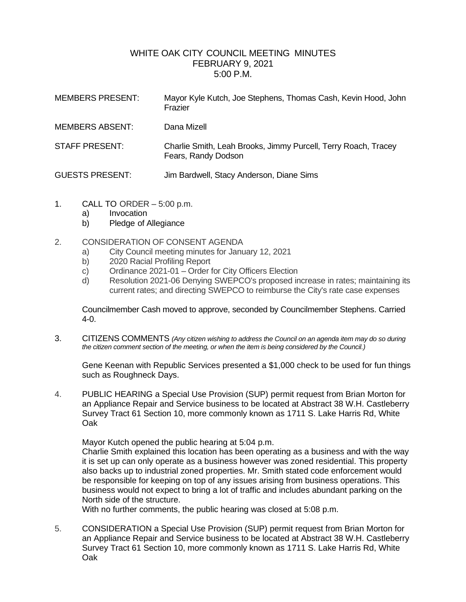# WHITE OAK CITY COUNCIL MEETING MINUTES FEBRUARY 9, 2021 5:00 P.M.

| <b>MEMBERS PRESENT:</b> | Mayor Kyle Kutch, Joe Stephens, Thomas Cash, Kevin Hood, John<br>Frazier              |
|-------------------------|---------------------------------------------------------------------------------------|
| <b>MEMBERS ABSENT:</b>  | Dana Mizell                                                                           |
| STAFF PRESENT:          | Charlie Smith, Leah Brooks, Jimmy Purcell, Terry Roach, Tracey<br>Fears, Randy Dodson |
| <b>GUESTS PRESENT:</b>  | Jim Bardwell, Stacy Anderson, Diane Sims                                              |

- 1. CALL TO ORDER 5:00 p.m.
	- a) Invocation
	- b) Pledge of Allegiance
- 2. CONSIDERATION OF CONSENT AGENDA
	- a) City Council meeting minutes for January 12, 2021
	- b) 2020 Racial Profiling Report
	- c) Ordinance 2021-01 Order for City Officers Election
	- d) Resolution 2021-06 Denying SWEPCO's proposed increase in rates; maintaining its current rates; and directing SWEPCO to reimburse the City's rate case expenses

Councilmember Cash moved to approve, seconded by Councilmember Stephens. Carried 4-0.

3. CITIZENS COMMENTS *(Any citizen wishing to address the Council on an agenda item may do so during the citizen comment section of the meeting, or when the item is being considered by the Council.)*

Gene Keenan with Republic Services presented a \$1,000 check to be used for fun things such as Roughneck Days.

4. PUBLIC HEARING a Special Use Provision (SUP) permit request from Brian Morton for an Appliance Repair and Service business to be located at Abstract 38 W.H. Castleberry Survey Tract 61 Section 10, more commonly known as 1711 S. Lake Harris Rd, White Oak

Mayor Kutch opened the public hearing at 5:04 p.m.

Charlie Smith explained this location has been operating as a business and with the way it is set up can only operate as a business however was zoned residential. This property also backs up to industrial zoned properties. Mr. Smith stated code enforcement would be responsible for keeping on top of any issues arising from business operations. This business would not expect to bring a lot of traffic and includes abundant parking on the North side of the structure.

With no further comments, the public hearing was closed at 5:08 p.m.

5. CONSIDERATION a Special Use Provision (SUP) permit request from Brian Morton for an Appliance Repair and Service business to be located at Abstract 38 W.H. Castleberry Survey Tract 61 Section 10, more commonly known as 1711 S. Lake Harris Rd, White Oak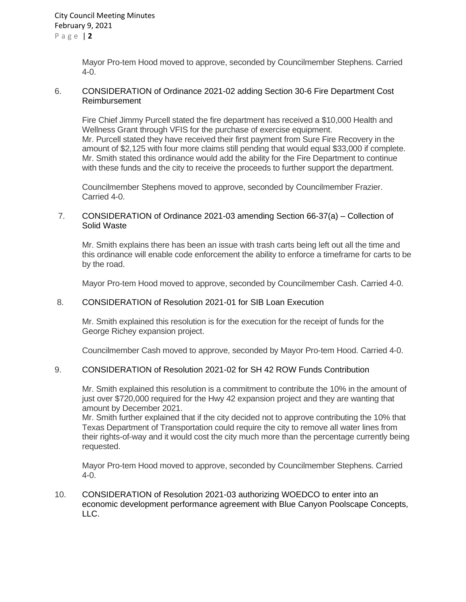Mayor Pro-tem Hood moved to approve, seconded by Councilmember Stephens. Carried 4-0.

#### 6. CONSIDERATION of Ordinance 2021-02 adding Section 30-6 Fire Department Cost Reimbursement

Fire Chief Jimmy Purcell stated the fire department has received a \$10,000 Health and Wellness Grant through VFIS for the purchase of exercise equipment. Mr. Purcell stated they have received their first payment from Sure Fire Recovery in the amount of \$2,125 with four more claims still pending that would equal \$33,000 if complete. Mr. Smith stated this ordinance would add the ability for the Fire Department to continue with these funds and the city to receive the proceeds to further support the department.

Councilmember Stephens moved to approve, seconded by Councilmember Frazier. Carried 4-0.

#### 7. CONSIDERATION of Ordinance 2021-03 amending Section 66-37(a) – Collection of Solid Waste

Mr. Smith explains there has been an issue with trash carts being left out all the time and this ordinance will enable code enforcement the ability to enforce a timeframe for carts to be by the road.

Mayor Pro-tem Hood moved to approve, seconded by Councilmember Cash. Carried 4-0.

### 8. CONSIDERATION of Resolution 2021-01 for SIB Loan Execution

Mr. Smith explained this resolution is for the execution for the receipt of funds for the George Richey expansion project.

Councilmember Cash moved to approve, seconded by Mayor Pro-tem Hood. Carried 4-0.

#### 9. CONSIDERATION of Resolution 2021-02 for SH 42 ROW Funds Contribution

Mr. Smith explained this resolution is a commitment to contribute the 10% in the amount of just over \$720,000 required for the Hwy 42 expansion project and they are wanting that amount by December 2021.

Mr. Smith further explained that if the city decided not to approve contributing the 10% that Texas Department of Transportation could require the city to remove all water lines from their rights-of-way and it would cost the city much more than the percentage currently being requested.

Mayor Pro-tem Hood moved to approve, seconded by Councilmember Stephens. Carried 4-0.

10. CONSIDERATION of Resolution 2021-03 authorizing WOEDCO to enter into an economic development performance agreement with Blue Canyon Poolscape Concepts, LLC.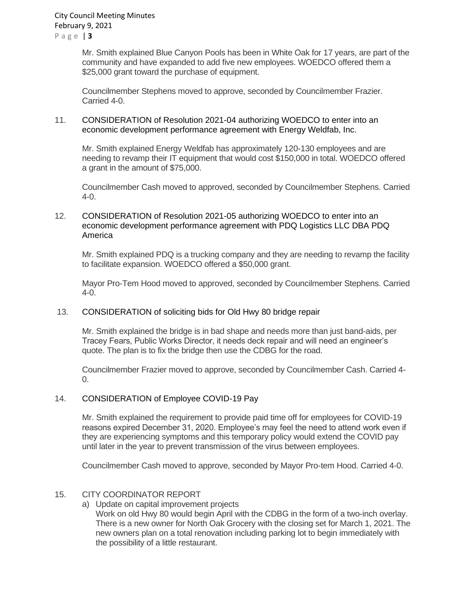Mr. Smith explained Blue Canyon Pools has been in White Oak for 17 years, are part of the community and have expanded to add five new employees. WOEDCO offered them a \$25,000 grant toward the purchase of equipment.

Councilmember Stephens moved to approve, seconded by Councilmember Frazier. Carried 4-0.

### 11. CONSIDERATION of Resolution 2021-04 authorizing WOEDCO to enter into an economic development performance agreement with Energy Weldfab, Inc.

Mr. Smith explained Energy Weldfab has approximately 120-130 employees and are needing to revamp their IT equipment that would cost \$150,000 in total. WOEDCO offered a grant in the amount of \$75,000.

Councilmember Cash moved to approved, seconded by Councilmember Stephens. Carried 4-0.

### 12. CONSIDERATION of Resolution 2021-05 authorizing WOEDCO to enter into an economic development performance agreement with PDQ Logistics LLC DBA PDQ America

Mr. Smith explained PDQ is a trucking company and they are needing to revamp the facility to facilitate expansion. WOEDCO offered a \$50,000 grant.

Mayor Pro-Tem Hood moved to approved, seconded by Councilmember Stephens. Carried 4-0.

## 13. CONSIDERATION of soliciting bids for Old Hwy 80 bridge repair

Mr. Smith explained the bridge is in bad shape and needs more than just band-aids, per Tracey Fears, Public Works Director, it needs deck repair and will need an engineer's quote. The plan is to fix the bridge then use the CDBG for the road.

Councilmember Frazier moved to approve, seconded by Councilmember Cash. Carried 4-  $\Omega$ .

## 14. CONSIDERATION of Employee COVID-19 Pay

Mr. Smith explained the requirement to provide paid time off for employees for COVID-19 reasons expired December 31, 2020. Employee's may feel the need to attend work even if they are experiencing symptoms and this temporary policy would extend the COVID pay until later in the year to prevent transmission of the virus between employees.

Councilmember Cash moved to approve, seconded by Mayor Pro-tem Hood. Carried 4-0.

## 15. CITY COORDINATOR REPORT

- a) Update on capital improvement projects
	- Work on old Hwy 80 would begin April with the CDBG in the form of a two-inch overlay. There is a new owner for North Oak Grocery with the closing set for March 1, 2021. The new owners plan on a total renovation including parking lot to begin immediately with the possibility of a little restaurant.